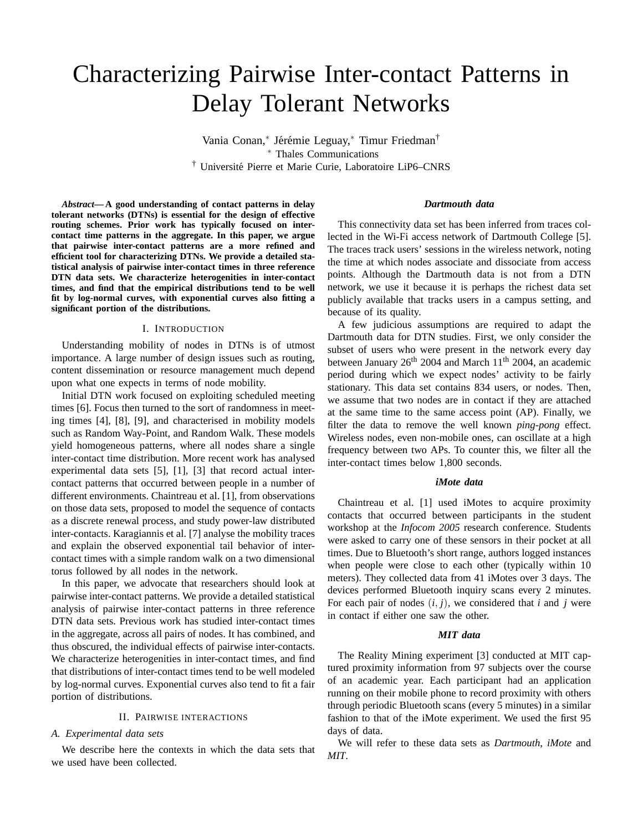# Characterizing Pairwise Inter-contact Patterns in Delay Tolerant Networks

Vania Conan,\* Jérémie Leguay,\* Timur Friedman<sup>†</sup> <sup>∗</sup> Thales Communications † Universite Pierre et Marie Curie, Laboratoire LiP6–CNRS ´

*Abstract***— A good understanding of contact patterns in delay tolerant networks (DTNs) is essential for the design of effective routing schemes. Prior work has typically focused on intercontact time patterns in the aggregate. In this paper, we argue that pairwise inter-contact patterns are a more refined and efficient tool for characterizing DTNs. We provide a detailed statistical analysis of pairwise inter-contact times in three reference DTN data sets. We characterize heterogenities in inter-contact times, and find that the empirical distributions tend to be well fit by log-normal curves, with exponential curves also fitting a significant portion of the distributions.**

## I. INTRODUCTION

Understanding mobility of nodes in DTNs is of utmost importance. A large number of design issues such as routing, content dissemination or resource management much depend upon what one expects in terms of node mobility.

Initial DTN work focused on exploiting scheduled meeting times [6]. Focus then turned to the sort of randomness in meeting times [4], [8], [9], and characterised in mobility models such as Random Way-Point, and Random Walk. These models yield homogeneous patterns, where all nodes share a single inter-contact time distribution. More recent work has analysed experimental data sets [5], [1], [3] that record actual intercontact patterns that occurred between people in a number of different environments. Chaintreau et al. [1], from observations on those data sets, proposed to model the sequence of contacts as a discrete renewal process, and study power-law distributed inter-contacts. Karagiannis et al. [7] analyse the mobility traces and explain the observed exponential tail behavior of intercontact times with a simple random walk on a two dimensional torus followed by all nodes in the network.

In this paper, we advocate that researchers should look at pairwise inter-contact patterns. We provide a detailed statistical analysis of pairwise inter-contact patterns in three reference DTN data sets. Previous work has studied inter-contact times in the aggregate, across all pairs of nodes. It has combined, and thus obscured, the individual effects of pairwise inter-contacts. We characterize heterogenities in inter-contact times, and find that distributions of inter-contact times tend to be well modeled by log-normal curves. Exponential curves also tend to fit a fair portion of distributions.

# II. PAIRWISE INTERACTIONS

# *A. Experimental data sets*

We describe here the contexts in which the data sets that we used have been collected.

# *Dartmouth data*

This connectivity data set has been inferred from traces collected in the Wi-Fi access network of Dartmouth College [5]. The traces track users' sessions in the wireless network, noting the time at which nodes associate and dissociate from access points. Although the Dartmouth data is not from a DTN network, we use it because it is perhaps the richest data set publicly available that tracks users in a campus setting, and because of its quality.

A few judicious assumptions are required to adapt the Dartmouth data for DTN studies. First, we only consider the subset of users who were present in the network every day between January  $26<sup>th</sup> 2004$  and March 11<sup>th</sup> 2004, an academic period during which we expect nodes' activity to be fairly stationary. This data set contains 834 users, or nodes. Then, we assume that two nodes are in contact if they are attached at the same time to the same access point (AP). Finally, we filter the data to remove the well known *ping-pong* effect. Wireless nodes, even non-mobile ones, can oscillate at a high frequency between two APs. To counter this, we filter all the inter-contact times below 1,800 seconds.

# *iMote data*

Chaintreau et al. [1] used iMotes to acquire proximity contacts that occurred between participants in the student workshop at the *Infocom 2005* research conference. Students were asked to carry one of these sensors in their pocket at all times. Due to Bluetooth's short range, authors logged instances when people were close to each other (typically within 10 meters). They collected data from 41 iMotes over 3 days. The devices performed Bluetooth inquiry scans every 2 minutes. For each pair of nodes (*i*, *j*), we considered that *i* and *j* were in contact if either one saw the other.

## *MIT data*

The Reality Mining experiment [3] conducted at MIT captured proximity information from 97 subjects over the course of an academic year. Each participant had an application running on their mobile phone to record proximity with others through periodic Bluetooth scans (every 5 minutes) in a similar fashion to that of the iMote experiment. We used the first 95 days of data.

We will refer to these data sets as *Dartmouth*, *iMote* and *MIT*.